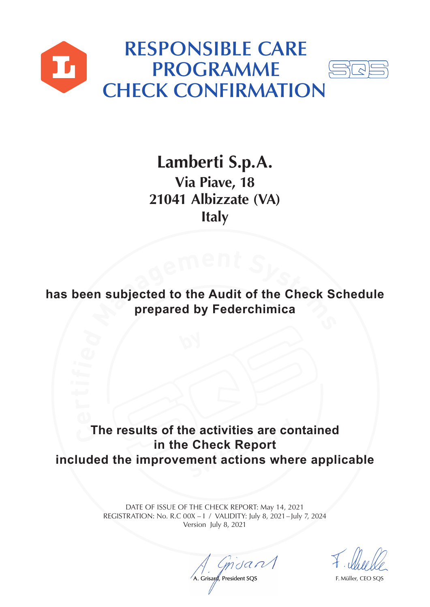



**Lamberti S.p.A. Via Piave, 18 21041 Albizzate (VA) Italy**

**h**<br>**enf**<br>**agenf**<br>**prepared by Federchimica has been subjected to the Audit of the Check Schedule prepared by Federchimica**

**The results of the activities are contained Reactivities are co**<br>Check Report<br>ment actions whe **in the Check Report included the improvement actions where applicable**

> DATE OF ISSUE OF THE CHECK REPORT: May 14, 2021 REGISTRATION: No. R.C 00X – I / VALIDITY: July 8, 2021 – July 7, 2024 Version July 8, 2021

A. Grisard, President SQS F. Müller, CEO SQS